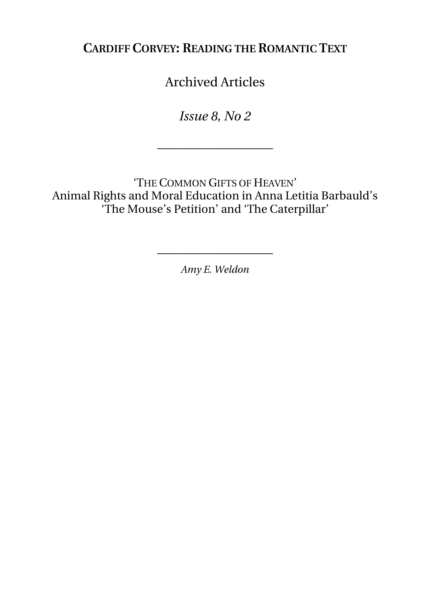**CARDIFF CORVEY: READING THE ROMANTIC TEXT**

Archived Articles

*Issue 8, No 2* 

——————————

'THE COMMON GIFTS OF HEAVEN' Animal Rights and Moral Education in Anna Letitia Barbauld's 'The Mouse's Petition' and 'The Caterpillar'

*Amy E. Weldon* 

——————————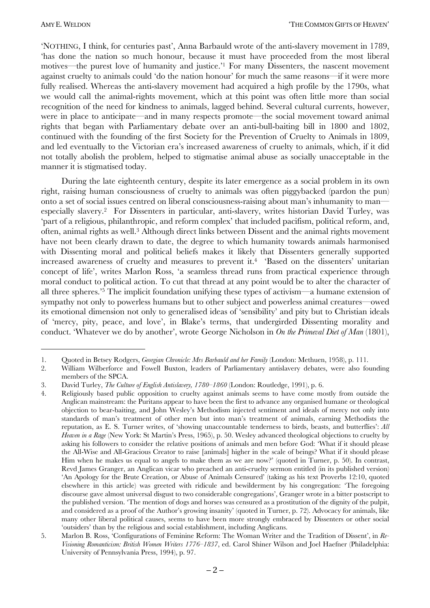'NOTHING, I think, for centuries past', Anna Barbauld wrote of the anti-slavery movement in 1789, 'has done the nation so much honour, because it must have proceeded from the most liberal motives—the purest love of humanity and justice.<sup>21</sup> For many Dissenters, the nascent movement against cruelty to animals could 'do the nation honour' for much the same reasons—if it were more fully realised. Whereas the anti-slavery movement had acquired a high profile by the 1790s, what we would call the animal-rights movement, which at this point was often little more than social recognition of the need for kindness to animals, lagged behind. Several cultural currents, however, were in place to anticipate—and in many respects promote—the social movement toward animal rights that began with Parliamentary debate over an anti-bull-baiting bill in 1800 and 1802, continued with the founding of the first Society for the Prevention of Cruelty to Animals in 1809, and led eventually to the Victorian era's increased awareness of cruelty to animals, which, if it did not totally abolish the problem, helped to stigmatise animal abuse as socially unacceptable in the manner it is stigmatised today.

During the late eighteenth century, despite its later emergence as a social problem in its own right, raising human consciousness of cruelty to animals was often piggybacked (pardon the pun) onto a set of social issues centred on liberal consciousness-raising about man's inhumanity to man especially slavery.<sup>2</sup> For Dissenters in particular, anti-slavery, writes historian David Turley, was 'part of a religious, philanthropic, and reform complex' that included pacifism, political reform, and, often, animal rights as well.<sup>3</sup> Although direct links between Dissent and the animal rights movement have not been clearly drawn to date, the degree to which humanity towards animals harmonised with Dissenting moral and political beliefs makes it likely that Dissenters generally supported increased awareness of cruelty and measures to prevent it.<sup>4</sup> 'Based on the dissenters' unitarian concept of life', writes Marlon Ross, 'a seamless thread runs from practical experience through moral conduct to political action. To cut that thread at any point would be to alter the character of all three spheres.<sup>5</sup> The implicit foundation unifying these types of activism—a humane extension of sympathy not only to powerless humans but to other subject and powerless animal creatures—owed its emotional dimension not only to generalised ideas of 'sensibility' and pity but to Christian ideals of 'mercy, pity, peace, and love', in Blake's terms, that undergirded Dissenting morality and conduct. 'Whatever we do by another', wrote George Nicholson in On the Primeval Diet of Man (1801),

Ouoted in Betsey Rodgers, Georgian Chronicle: Mrs Barbauld and her Family (London: Methuen, 1958), p. 111.  $1.$ 

William Wilberforce and Fowell Buxton, leaders of Parliamentary antislavery debates, were also founding 2. members of the SPCA.

<sup>3.</sup> David Turley, The Culture of English Antislavery, 1780-1860 (London: Routledge, 1991), p. 6.

Religiously based public opposition to cruelty against animals seems to have come mostly from outside the  $4.$ Anglican mainstream: the Puritans appear to have been the first to advance any organised humane or theological objection to bear-baiting, and John Wesley's Methodism injected sentiment and ideals of mercy not only into standards of man's treatment of other men but into man's treatment of animals, earning Methodists the reputation, as E. S. Turner writes, of 'showing unaccountable tenderness to birds, beasts, and butterflies': All Heaven in a Rage (New York: St Martin's Press, 1965), p. 50. Wesley advanced theological objections to cruelty by asking his followers to consider the relative positions of animals and men before God: 'What if it should please the All-Wise and All-Gracious Creator to raise [animals] higher in the scale of beings? What if it should please Him when he makes us equal to angels to make them as we are now?' (quoted in Turner, p. 50). In contrast, Revd James Granger, an Anglican vicar who preached an anti-cruelty sermon entitled (in its published version) 'An Apology for the Brute Creation, or Abuse of Animals Censured' (taking as his text Proverbs 12:10, quoted elsewhere in this article) was greeted with ridicule and bewilderment by his congregation: 'The foregoing discourse gave almost universal disgust to two considerable congregations', Granger wrote in a bitter postscript to the published version. The mention of dogs and horses was censured as a prostitution of the dignity of the pulpit, and considered as a proof of the Author's growing insanity' (quoted in Turner, p. 72). Advocacy for animals, like many other liberal political causes, seems to have been more strongly embraced by Dissenters or other social 'outsiders' than by the religious and social establishment, including Anglicans.

Marlon B. Ross, Configurations of Feminine Reform: The Woman Writer and the Tradition of Dissent', in Re- $5.$ Visioning Romanticism: British Women Writers 1776-1837, ed. Carol Shiner Wilson and Joel Haefner (Philadelphia: University of Pennsylvania Press, 1994), p. 97.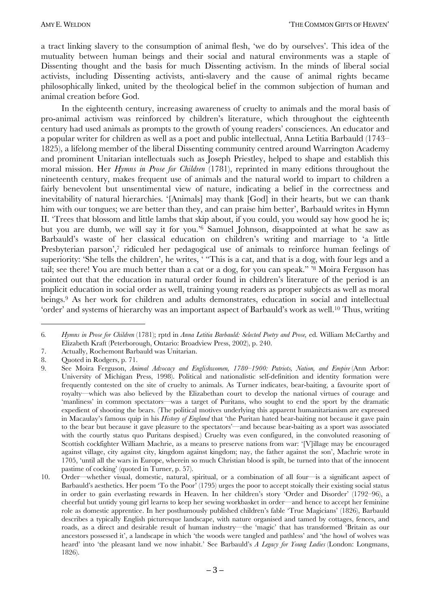a tract linking slavery to the consumption of animal flesh, 'we do by ourselves'. This idea of the mutuality between human beings and their social and natural environments was a staple of Dissenting thought and the basis for much Dissenting activism. In the minds of liberal social activists, including Dissenting activists, anti-slavery and the cause of animal rights became philosophically linked, united by the theological belief in the common subjection of human and animal creation before God.

In the eighteenth century, increasing awareness of cruelty to animals and the moral basis of pro-animal activism was reinforced by children's literature, which throughout the eighteenth century had used animals as prompts to the growth of young readers' consciences. An educator and a popular writer for children as well as a poet and public intellectual, Anna Letitia Barbauld (1743– 1825), a lifelong member of the liberal Dissenting community centred around Warrington Academy and prominent Unitarian intellectuals such as Joseph Priestley, helped to shape and establish this moral mission. Her *Hymns in Prose for Children* (1781), reprinted in many editions throughout the nineteenth century, makes frequent use of animals and the natural world to impart to children a fairly benevolent but unsentimental view of nature, indicating a belief in the correctness and inevitability of natural hierarchies. '[Animals] may thank [God] in their hearts, but we can thank him with our tongues; we are better than they, and can praise him better', Barbauld writes in Hymn II. ëTrees that blossom and little lambs that skip about, if you could, you would say how good he is; but you are dumb, we will say it for you.<sup>16</sup> Samuel Johnson, disappointed at what he saw as Barbauld's waste of her classical education on children's writing and marriage to 'a little Presbyterian parson',<sup>7</sup> ridiculed her pedagogical use of animals to reinforce human feelings of superiority: 'She tells the children', he writes, ' "This is a cat, and that is a dog, with four legs and a tail; see there! You are much better than a cat or a dog, for you can speak." <sup>8</sup> Moira Ferguson has pointed out that the education in natural order found in children's literature of the period is an implicit education in social order as well, training young readers as proper subjects as well as moral beings.9 As her work for children and adults demonstrates, education in social and intellectual 'order' and systems of hierarchy was an important aspect of Barbauld's work as well.<sup>10</sup> Thus, writing

<sup>6</sup>*. Hymns in Prose for Children* (1781); rptd in *Anna Letitia Barbauld: Selected Poetry and Prose,* ed. William McCarthy and Elizabeth Kraft (Peterborough, Ontario: Broadview Press, 2002), p. 240.

<sup>7.</sup> Actually, Rochemont Barbauld was Unitarian.

<sup>8.</sup> Quoted in Rodgers, p. 71.

<sup>9.</sup> See Moira Ferguson, *Animal Advocacy and Englishwomen, 1780–1900: Patriots, Nation, and Empire* (Ann Arbor: University of Michigan Press, 1998). Political and nationalistic self-definition and identity formation were frequently contested on the site of cruelty to animals. As Turner indicates, bear-baiting, a favourite sport of royalty—which was also believed by the Elizabethan court to develop the national virtues of courage and 'manliness' in common spectators—was a target of Puritans, who sought to end the sport by the dramatic expedient of shooting the bears. (The political motives underlying this apparent humanitarianism are expressed in Macaulayís famous quip in his *History of England* that ëthe Puritan hated bear-baiting not because it gave pain to the bear but because it gave pleasure to the spectators<sup>2</sup>—and because bear-baiting as a sport was associated with the courtly status quo Puritans despised.) Cruelty was even configured, in the convoluted reasoning of Scottish cockfighter William Machrie, as a means to preserve nations from war: '[V]illage may be encouraged against village, city against city, kingdom against kingdom; nay, the father against the son', Machrie wrote in 1705, ëuntil all the wars in Europe, wherein so much Christian blood is spilt, be turned into that of the innocent pastime of cocking' (quoted in Turner, p. 57).

<sup>10.</sup> Order—whether visual, domestic, natural, spiritual, or a combination of all four—is a significant aspect of Barbauld's aesthetics. Her poem 'To the Poor' (1795) urges the poor to accept stoically their existing social status in order to gain everlasting rewards in Heaven. In her children's story 'Order and Disorder' (1792–96), a cheerful but untidy young girl learns to keep her sewing workbasket in order—and hence to accept her feminine role as domestic apprentice. In her posthumously published children's fable 'True Magicians' (1826), Barbauld describes a typically English picturesque landscape, with nature organised and tamed by cottages, fences, and roads, as a direct and desirable result of human industry—the 'magic' that has transformed 'Britain as our ancestors possessed it', a landscape in which 'the woods were tangled and pathless' and 'the howl of wolves was heard' into 'the pleasant land we now inhabit.' See Barbauld's *A Legacy for Young Ladies* (London: Longmans, 1826).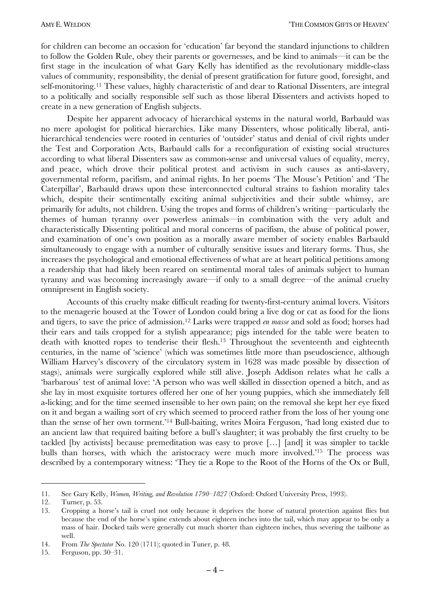for children can become an occasion for 'education' far beyond the standard injunctions to children to follow the Golden Rule, obey their parents or governesses, and be kind to animals—it can be the first stage in the inculcation of what Gary Kelly has identified as the revolutionary middle-class values of community, responsibility, the denial of present gratification for future good, foresight, and self-monitoring.11 These values, highly characteristic of and dear to Rational Dissenters, are integral to a politically and socially responsible self such as those liberal Dissenters and activists hoped to create in a new generation of English subjects.

Despite her apparent advocacy of hierarchical systems in the natural world, Barbauld was no mere apologist for political hierarchies. Like many Dissenters, whose politically liberal, antihierarchical tendencies were rooted in centuries of 'outsider' status and denial of civil rights under the Test and Corporation Acts, Barbauld calls for a reconfiguration of existing social structures according to what liberal Dissenters saw as common-sense and universal values of equality, mercy, and peace, which drove their political protest and activism in such causes as anti-slavery, governmental reform, pacifism, and animal rights. In her poems 'The Mouse's Petition' and 'The Caterpillar', Barbauld draws upon these interconnected cultural strains to fashion morality tales which, despite their sentimentally exciting animal subjectivities and their subtle whimsy, are primarily for adults, not children. Using the tropes and forms of children's writing—particularly the themes of human tyranny over powerless animals—in combination with the very adult and characteristically Dissenting political and moral concerns of pacifism, the abuse of political power, and examination of one's own position as a morally aware member of society enables Barbauld simultaneously to engage with a number of culturally sensitive issues and literary forms. Thus, she increases the psychological and emotional effectiveness of what are at heart political petitions among a readership that had likely been reared on sentimental moral tales of animals subject to human tyranny and was becoming increasingly aware—if only to a small degree—of the animal cruelty omnipresent in English society.

Accounts of this cruelty make difficult reading for twenty-first-century animal lovers. Visitors to the menagerie housed at the Tower of London could bring a live dog or cat as food for the lions and tigers, to save the price of admission.12 Larks were trapped *en masse* and sold as food; horses had their ears and tails cropped for a stylish appearance; pigs intended for the table were beaten to death with knotted ropes to tenderise their flesh.13 Throughout the seventeenth and eighteenth centuries, in the name of 'science' (which was sometimes little more than pseudoscience, although William Harvey's discovery of the circulatory system in 1628 was made possible by dissection of stags), animals were surgically explored while still alive. Joseph Addison relates what he calls a ëbarbarousí test of animal love: ëA person who was well skilled in dissection opened a bitch, and as she lay in most exquisite tortures offered her one of her young puppies, which she immediately fell a-licking; and for the time seemed insensible to her own pain; on the removal she kept her eye fixed on it and began a wailing sort of cry which seemed to proceed rather from the loss of her young one than the sense of her own torment.<sup>14</sup> Bull-baiting, writes Moira Ferguson, 'had long existed due to an ancient law that required baiting before a bull's slaughter; it was probably the first cruelty to be tackled [by activists] because premeditation was easy to prove  $[\dots]$  [and] it was simpler to tackle bulls than horses, with which the aristocracy were much more involved.<sup>115</sup> The process was described by a contemporary witness: 'They tie a Rope to the Root of the Horns of the Ox or Bull,

<sup>11.</sup> See Gary Kelly, *Women, Writing, and Revolution 1790–1827* (Oxford: Oxford University Press, 1993).

<sup>12.</sup> Turner, p. 53.

<sup>13.</sup> Cropping a horseís tail is cruel not only because it deprives the horse of natural protection against flies but because the end of the horseís spine extends about eighteen inches into the tail, which may appear to be only a mass of hair. Docked tails were generally cut much shorter than eighteen inches, thus severing the tailbone as well.

<sup>14.</sup> From *The Spectator* No. 120 (1711); quoted in Tuner, p. 48.

<sup>15.</sup> Ferguson, pp. 30–31.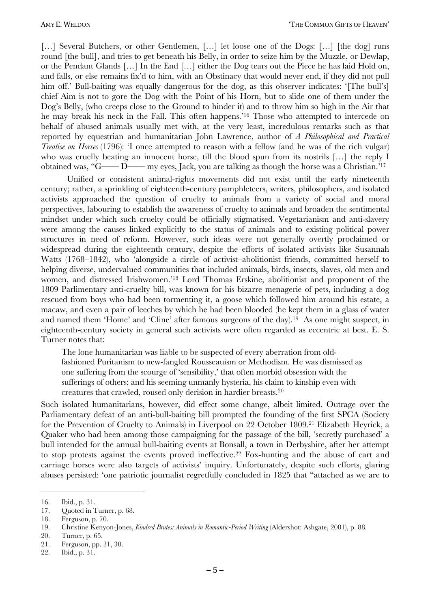[...] Several Butchers, or other Gentlemen, [...] let loose one of the Dogs: [...] [the dog] runs round [the bull], and tries to get beneath his Belly, in order to seize him by the Muzzle, or Dewlap, or the Pendant Glands [...] In the End [...] either the Dog tears out the Piece he has laid Hold on, and falls, or else remains fix'd to him, with an Obstinacy that would never end, if they did not pull him off. Bull-baiting was equally dangerous for the dog, as this observer indicates: '[The bull's] chief Aim is not to gore the Dog with the Point of his Horn, but to slide one of them under the Dog's Belly, (who creeps close to the Ground to hinder it) and to throw him so high in the Air that he may break his neck in the Fall. This often happens.<sup>16</sup> Those who attempted to intercede on behalf of abused animals usually met with, at the very least, incredulous remarks such as that reported by equestrian and humanitarian John Lawrence, author of *A Philosophical and Practical Treatise on Horses* (1796): *T* once attempted to reason with a fellow (and he was of the rich vulgar) who was cruelly beating an innocent horse, till the blood spun from its nostrils  $[\dots]$  the reply I obtained was, " $G \rightarrow D \rightarrow m$  eyes, Jack, you are talking as though the horse was a Christian.<sup>'17</sup>

Unified or consistent animal-rights movements did not exist until the early nineteenth century; rather, a sprinkling of eighteenth-century pamphleteers, writers, philosophers, and isolated activists approached the question of cruelty to animals from a variety of social and moral perspectives, labouring to establish the awareness of cruelty to animals and broaden the sentimental mindset under which such cruelty could be officially stigmatised. Vegetarianism and anti-slavery were among the causes linked explicitly to the status of animals and to existing political power structures in need of reform. However, such ideas were not generally overtly proclaimed or widespread during the eighteenth century, despite the efforts of isolated activists like Susannah Watts (1768–1842), who 'alongside a circle of activist-abolitionist friends, committed herself to helping diverse, undervalued communities that included animals, birds, insects, slaves, old men and women, and distressed Irishwomen.<sup>18</sup> Lord Thomas Erskine, abolitionist and proponent of the 1809 Parlimentary anti-cruelty bill, was known for his bizarre menagerie of pets, including a dog rescued from boys who had been tormenting it, a goose which followed him around his estate, a macaw, and even a pair of leeches by which he had been blooded (he kept them in a glass of water and named them 'Home' and 'Cline' after famous surgeons of the day).<sup>19</sup> As one might suspect, in eighteenth-century society in general such activists were often regarded as eccentric at best. E. S. Turner notes that:

The lone humanitarian was liable to be suspected of every aberration from oldfashioned Puritanism to new-fangled Rousseauism or Methodism. He was dismissed as one suffering from the scourge of 'sensibility,' that often morbid obsession with the sufferings of others; and his seeming unmanly hysteria, his claim to kinship even with creatures that crawled, roused only derision in hardier breasts.20

Such isolated humanitarians, however, did effect some change, albeit limited. Outrage over the Parliamentary defeat of an anti-bull-baiting bill prompted the founding of the first SPCA (Society for the Prevention of Cruelty to Animals) in Liverpool on 22 October 1809.21 Elizabeth Heyrick, a Quaker who had been among those campaigning for the passage of the bill, 'secretly purchased' a bull intended for the annual bull-baiting events at Bonsall, a town in Derbyshire, after her attempt to stop protests against the events proved ineffective.22 Fox-hunting and the abuse of cart and carriage horses were also targets of activists' inquiry. Unfortunately, despite such efforts, glaring abuses persisted: 'one patriotic journalist regretfully concluded in 1825 that "attached as we are to

<sup>16.</sup> Ibid., p. 31.

<sup>17.</sup> Quoted in Turner, p. 68.

<sup>18.</sup> Ferguson, p. 70.

<sup>19.</sup> Christine Kenyon-Jones, *Kindred Brutes: Animals in Romantic-Period Writing* (Aldershot: Ashgate, 2001), p. 88.

<sup>20.</sup> Turner, p. 65.

<sup>21.</sup> Ferguson, pp. 31, 30.

<sup>22.</sup> Ibid., p. 31.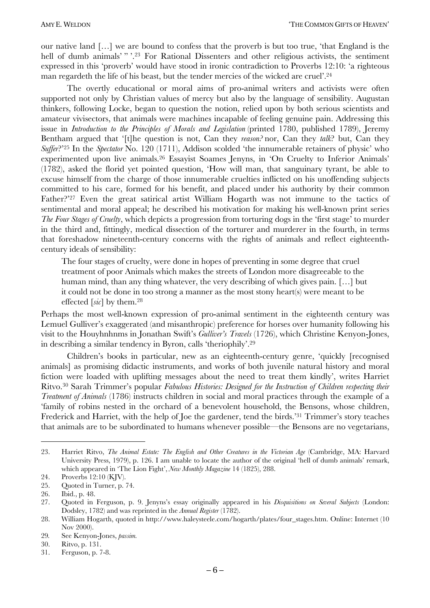our native land [...] we are bound to confess that the proverb is but too true, 'that England is the hell of dumb animals'"?<sup>23</sup> For Rational Dissenters and other religious activists, the sentiment expressed in this 'proverb' would have stood in ironic contradiction to Proverbs 12:10: 'a righteous man regardeth the life of his beast, but the tender mercies of the wicked are cruel'.<sup>24</sup>

The overtly educational or moral aims of pro-animal writers and activists were often supported not only by Christian values of mercy but also by the language of sensibility. Augustan thinkers, following Locke, began to question the notion, relied upon by both serious scientists and amateur vivisectors, that animals were machines incapable of feeling genuine pain. Addressing this issue in Introduction to the Principles of Morals and Legislation (printed 1780, published 1789), Jeremy Bentham argued that '[t]he question is not, Can they reason? nor, Can they talk? but, Can they Suffer?'25 In the Spectator No. 120 (1711), Addison scolded 'the innumerable retainers of physic' who experimented upon live animals.<sup>26</sup> Essayist Soames Jenyns, in 'On Cruelty to Inferior Animals' (1782), asked the florid yet pointed question, 'How will man, that sanguinary tyrant, be able to excuse himself from the charge of those innumerable cruelties inflicted on his unoffending subjects committed to his care, formed for his benefit, and placed under his authority by their common Father?"<sup>27</sup> Even the great satirical artist William Hogarth was not immune to the tactics of sentimental and moral appeal; he described his motivation for making his well-known print series The Four Stages of Cruelty, which depicts a progression from torturing dogs in the 'first stage' to murder in the third and, fittingly, medical dissection of the torturer and murderer in the fourth, in terms that foreshadow nineteenth-century concerns with the rights of animals and reflect eighteenthcentury ideals of sensibility:

The four stages of cruelty, were done in hopes of preventing in some degree that cruel treatment of poor Animals which makes the streets of London more disagreeable to the human mind, than any thing whatever, the very describing of which gives pain. [...] but it could not be done in too strong a manner as the most stony heart(s) were meant to be effected [sic] by them.<sup>28</sup>

Perhaps the most well-known expression of pro-animal sentiment in the eighteenth century was Lemuel Gulliver's exaggerated (and misanthropic) preference for horses over humanity following his visit to the Houyhnhnms in Jonathan Swift's Gulliver's Travels (1726), which Christine Kenyon-Jones, in describing a similar tendency in Byron, calls 'theriophily'.<sup>29</sup>

Children's books in particular, new as an eighteenth-century genre, 'quickly [recognised animals] as promising didactic instruments, and works of both juvenile natural history and moral fiction were loaded with uplifting messages about the need to treat them kindly', writes Harriet Ritvo.<sup>30</sup> Sarah Trimmer's popular Fabulous Histories: Designed for the Instruction of Children respecting their *Treatment of Animals* (1786) instructs children in social and moral practices through the example of a 'family of robins nested in the orchard of a benevolent household, the Bensons, whose children, Frederick and Harriet, with the help of Joe the gardener, tend the birds.<sup>31</sup> Trimmer's story teaches that animals are to be subordinated to humans whenever possible—the Bensons are no vegetarians,

Harriet Ritvo, The Animal Estate: The English and Other Creatures in the Victorian Age (Cambridge, MA: Harvard 23. University Press, 1979), p. 126. I am unable to locate the author of the original 'hell of dumb animals' remark, which appeared in 'The Lion Fight', New Monthly Magazine 14 (1825), 288.

Proverbs 12:10 (KJV). 24.

Quoted in Turner, p. 74. 25.

<sup>26.</sup> Ibid., p. 48.

Ouoted in Ferguson, p. 9. Jenyns's essay originally appeared in his *Disquisitions on Several Subjects* (London: 27. Dodsley, 1782) and was reprinted in the *Annual Register* (1782).

<sup>28.</sup> William Hogarth, quoted in http://www.haleysteele.com/hogarth/plates/four stages.htm. Online: Internet (10 Nov 2000).

<sup>29.</sup> See Kenyon-Jones, passim.

<sup>30.</sup> Ritvo, p. 131.

<sup>31.</sup> Ferguson, p. 7-8.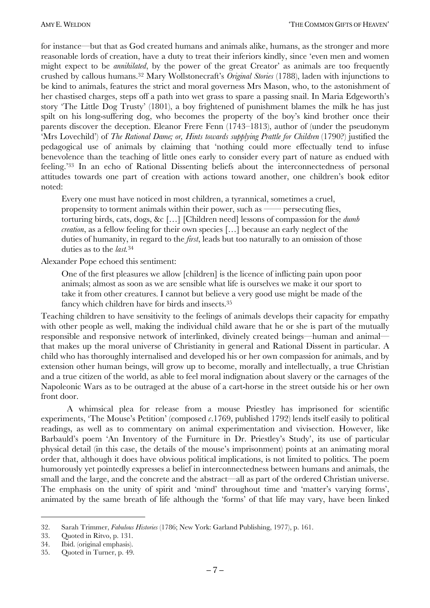for instance—but that as God created humans and animals alike, humans, as the stronger and more reasonable lords of creation, have a duty to treat their inferiors kindly, since 'even men and women might expect to be *annihilated*, by the power of the great Creator' as animals are too frequently crushed by callous humans.<sup>32</sup> Mary Wollstonecraft's *Original Stories* (1788), laden with injunctions to be kind to animals, features the strict and moral governess Mrs Mason, who, to the astonishment of her chastised charges, steps off a path into wet grass to spare a passing snail. In Maria Edgeworth's story 'The Little Dog Trusty' (1801), a boy frightened of punishment blames the milk he has just spilt on his long-suffering dog, who becomes the property of the boy's kind brother once their parents discover the deception. Eleanor Frere Fenn (1743–1813), author of (under the pseudonym 'Mrs Lovechild') of The Rational Dame; or, Hints towards supplying Prattle for Children (1790?) justified the pedagogical use of animals by claiming that 'nothing could more effectually tend to infuse benevolence than the teaching of little ones early to consider every part of nature as endued with feeling.'33 In an echo of Rational Dissenting beliefs about the interconnectedness of personal attitudes towards one part of creation with actions toward another, one children's book editor noted:

Every one must have noticed in most children, a tyrannical, sometimes a cruel, propensity to torment animals within their power, such as  $-$ - persecuting flies, torturing birds, cats, dogs, &c [...] [Children need] lessons of compassion for the  $dumb$ *creation*, as a fellow feeling for their own species [...] because an early neglect of the duties of humanity, in regard to the *first*, leads but too naturally to an omission of those duties as to the  $last.^{34}$ 

Alexander Pope echoed this sentiment:

One of the first pleasures we allow [children] is the licence of inflicting pain upon poor animals; almost as soon as we are sensible what life is ourselves we make it our sport to take it from other creatures. I cannot but believe a very good use might be made of the fancy which children have for birds and insects.<sup>35</sup>

Teaching children to have sensitivity to the feelings of animals develops their capacity for empathy with other people as well, making the individual child aware that he or she is part of the mutually responsible and responsive network of interlinked, divinely created beings—human and animal that makes up the moral universe of Christianity in general and Rational Dissent in particular. A child who has thoroughly internalised and developed his or her own compassion for animals, and by extension other human beings, will grow up to become, morally and intellectually, a true Christian and a true citizen of the world, as able to feel moral indignation about slavery or the carnages of the Napoleonic Wars as to be outraged at the abuse of a cart-horse in the street outside his or her own front door.

A whimsical plea for release from a mouse Priestley has imprisoned for scientific experiments, 'The Mouse's Petition' (composed  $c.1769$ , published 1792) lends itself easily to political readings, as well as to commentary on animal experimentation and vivisection. However, like Barbauld's poem 'An Inventory of the Furniture in Dr. Priestley's Study', its use of particular physical detail (in this case, the details of the mouse's imprisonment) points at an animating moral order that, although it does have obvious political implications, is not limited to politics. The poem humorously yet pointedly expresses a belief in interconnectedness between humans and animals, the small and the large, and the concrete and the abstract—all as part of the ordered Christian universe. The emphasis on the unity of spirit and 'mind' throughout time and 'matter's varying forms', animated by the same breath of life although the 'forms' of that life may vary, have been linked

<sup>32.</sup> Sarah Trimmer, Fabulous Histories (1786; New York: Garland Publishing, 1977), p. 161.

<sup>33.</sup> Ouoted in Ritvo, p. 131.

<sup>34.</sup> Ibid. (original emphasis).

Quoted in Turner, p. 49. 35.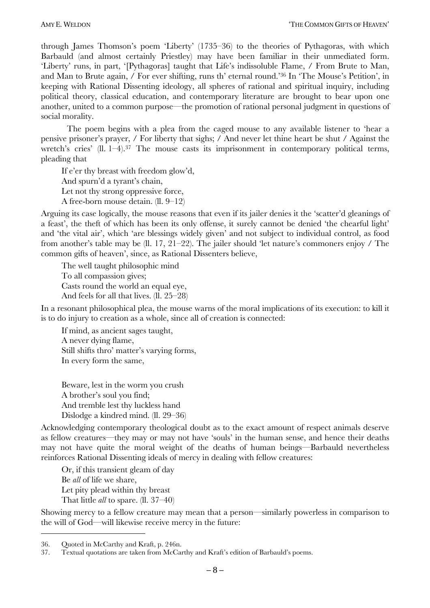through James Thomson's poem 'Liberty' (1735–36) to the theories of Pythagoras, with which Barbauld (and almost certainly Priestley) may have been familiar in their unmediated form. 'Liberty' runs, in part, '[Pythagoras] taught that Life's indissoluble Flame, / From Brute to Man, and Man to Brute again, / For ever shifting, runs th' eternal round.<sup>36</sup> In 'The Mouse's Petition', in keeping with Rational Dissenting ideology, all spheres of rational and spiritual inquiry, including political theory, classical education, and contemporary literature are brought to bear upon one another, united to a common purpose—the promotion of rational personal judgment in questions of social morality.

The poem begins with a plea from the caged mouse to any available listener to 'hear a pensive prisoner's prayer, / For liberty that sighs; / And never let thine heart be shut / Against the wretch's cries' (ll.  $1-4$ ).<sup>37</sup> The mouse casts its imprisonment in contemporary political terms, pleading that

If e'er thy breast with freedom glow'd,

And spurn'd a tyrant's chain,

Let not thy strong oppressive force,

A free-born mouse detain.  $(II. 9-12)$ 

Arguing its case logically, the mouse reasons that even if its jailer denies it the 'scatter'd gleanings of a feast', the theft of which has been its only offense, it surely cannot be denied 'the chearful light' and 'the vital air', which 'are blessings widely given' and not subject to individual control, as food from another's table may be (ll. 17, 21–22). The jailer should 'let nature's commoners enjoy / The common gifts of heaven', since, as Rational Dissenters believe,

The well taught philosophic mind To all compassion gives; Casts round the world an equal eye, And feels for all that lives.  $(II. 25-28)$ 

In a resonant philosophical plea, the mouse warns of the moral implications of its execution: to kill it is to do injury to creation as a whole, since all of creation is connected:

If mind, as ancient sages taught, A never dying flame, Still shifts thro' matter's varying forms, In every form the same,

Beware, lest in the worm you crush A brother's soul you find; And tremble lest thy luckless hand Dislodge a kindred mind.  $(II. 29-36)$ 

Acknowledging contemporary theological doubt as to the exact amount of respect animals deserve as fellow creatures—they may or may not have 'souls' in the human sense, and hence their deaths may not have quite the moral weight of the deaths of human beings—Barbauld nevertheless reinforces Rational Dissenting ideals of mercy in dealing with fellow creatures:

Or, if this transient gleam of day Be *all* of life we share, Let pity plead within thy breast That little *all* to spare. (II. 37–40)

Showing mercy to a fellow creature may mean that a person—similarly powerless in comparison to the will of God—will likewise receive mercy in the future:

<sup>36.</sup> Quoted in McCarthy and Kraft, p. 246n.

<sup>37.</sup> Textual quotations are taken from McCarthy and Kraft's edition of Barbauld's poems.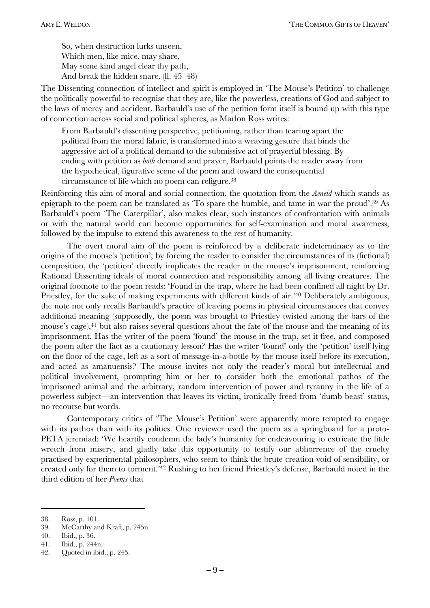So, when destruction lurks unseen, Which men, like mice, may share, May some kind angel clear thy path, And break the hidden snare.  $(11.45-48)$ 

The Dissenting connection of intellect and spirit is employed in 'The Mouse's Petition' to challenge the politically powerful to recognise that they are, like the powerless, creations of God and subject to the laws of mercy and accident. Barbauld's use of the petition form itself is bound up with this type of connection across social and political spheres, as Marlon Ross writes:

From Barbauld's dissenting perspective, petitioning, rather than tearing apart the political from the moral fabric, is transformed into a weaving gesture that binds the aggressive act of a political demand to the submissive act of prayerful blessing. By ending with petition as *both* demand and prayer, Barbauld points the reader away from the hypothetical, figurative scene of the poem and toward the consequential circumstance of life which no poem can refigure.38

Reinforcing this aim of moral and social connection, the quotation from the *Aeneid* which stands as epigraph to the poem can be translated as  $\text{To spare the humble}$ , and tame in war the proud<sup> $2,39$ </sup> As Barbauld's poem 'The Caterpillar', also makes clear, such instances of confrontation with animals or with the natural world can become opportunities for self-examination and moral awareness, followed by the impulse to extend this awareness to the rest of humanity.

The overt moral aim of the poem is reinforced by a deliberate indeterminacy as to the origins of the mouse's 'petition'; by forcing the reader to consider the circumstances of its (fictional) composition, the 'petition' directly implicates the reader in the mouse's imprisonment, reinforcing Rational Dissenting ideals of moral connection and responsibility among all living creatures. The original footnote to the poem reads: 'Found in the trap, where he had been confined all night by Dr. Priestley, for the sake of making experiments with different kinds of air.<sup>240</sup> Deliberately ambiguous, the note not only recalls Barbauld's practice of leaving poems in physical circumstances that convey additional meaning (supposedly, the poem was brought to Priestley twisted among the bars of the mouse's cage),<sup>41</sup> but also raises several questions about the fate of the mouse and the meaning of its imprisonment. Has the writer of the poem 'found' the mouse in the trap, set it free, and composed the poem after the fact as a cautionary lesson? Has the writer 'found' only the 'petition' itself lying on the floor of the cage, left as a sort of message-in-a-bottle by the mouse itself before its execution, and acted as amanuensis? The mouse invites not only the reader's moral but intellectual and political involvement, prompting him or her to consider both the emotional pathos of the imprisoned animal and the arbitrary, random intervention of power and tyranny in the life of a powerless subject—an intervention that leaves its victim, ironically freed from 'dumb beast' status, no recourse but words.

Contemporary critics of 'The Mouse's Petition' were apparently more tempted to engage with its pathos than with its politics. One reviewer used the poem as a springboard for a proto-PETA jeremiad: We heartily condemn the lady's humanity for endeavouring to extricate the little wretch from misery, and gladly take this opportunity to testify our abhorrence of the cruelty practised by experimental philosophers, who seem to think the brute creation void of sensibility, or created only for them to torment.<sup>42</sup> Rushing to her friend Priestley's defense, Barbauld noted in the third edition of her *Poems* that

<sup>38.</sup> Ross, p. 101.

<sup>39.</sup> McCarthy and Kraft, p. 245n.

<sup>40.</sup> Ibid., p. 36.

<sup>41.</sup> Ibid., p. 244n.

<sup>42.</sup> Quoted in ibid., p. 245.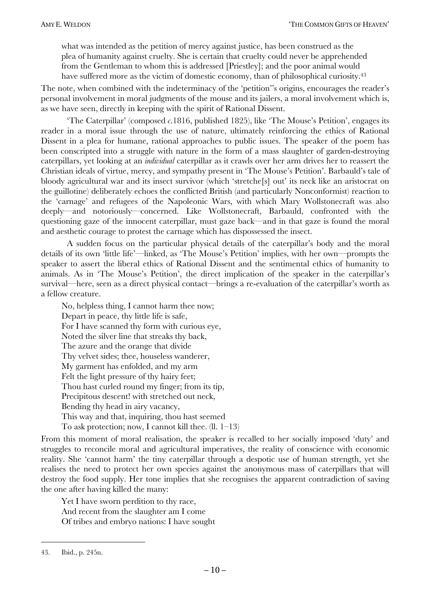what was intended as the petition of mercy against justice, has been construed as the plea of humanity against cruelty. She is certain that cruelty could never be apprehended from the Gentleman to whom this is addressed [Priestley]; and the poor animal would have suffered more as the victim of domestic economy, than of philosophical curiosity.<sup>43</sup>

The note, when combined with the indeterminacy of the 'petition''s origins, encourages the reader's personal involvement in moral judgments of the mouse and its jailers, a moral involvement which is, as we have seen, directly in keeping with the spirit of Rational Dissent.

The Caterpillar' (composed  $\epsilon$ .1816, published 1825), like The Mouse's Petition', engages its reader in a moral issue through the use of nature, ultimately reinforcing the ethics of Rational Dissent in a plea for humane, rational approaches to public issues. The speaker of the poem has been conscripted into a struggle with nature in the form of a mass slaughter of garden-destroying caterpillars, yet looking at an *individual* caterpillar as it crawls over her arm drives her to reassert the Christian ideals of virtue, mercy, and sympathy present in 'The Mouse's Petition'. Barbauld's tale of bloody agricultural war and its insect survivor (which 'stretche<sup>[s]</sup> out' its neck like an aristocrat on the guillotine) deliberately echoes the conflicted British (and particularly Nonconformist) reaction to the 'carnage' and refugees of the Napoleonic Wars, with which Mary Wollstonecraft was also deeply—and notoriously—concerned. Like Wollstonecraft, Barbauld, confronted with the questioning gaze of the innocent caterpillar, must gaze back—and in that gaze is found the moral and aesthetic courage to protest the carnage which has dispossessed the insect.

A sudden focus on the particular physical details of the caterpillar's body and the moral details of its own 'little life'—linked, as 'The Mouse's Petition' implies, with her own—prompts the speaker to assert the liberal ethics of Rational Dissent and the sentimental ethics of humanity to animals. As in 'The Mouse's Petition', the direct implication of the speaker in the caterpillar's survival—here, seen as a direct physical contact—brings a re-evaluation of the caterpillar's worth as a fellow creature.

No, helpless thing, I cannot harm thee now; Depart in peace, thy little life is safe, For I have scanned thy form with curious eye, Noted the silver line that streaks thy back, The azure and the orange that divide Thy velvet sides; thee, houseless wanderer, My garment has enfolded, and my arm Felt the light pressure of thy hairy feet; Thou hast curled round my finger; from its tip, Precipitous descent! with stretched out neck, Bending thy head in airy vacancy, This way and that, inquiring, thou hast seemed To ask protection; now, I cannot kill thee.  $(II, 1-13)$ 

From this moment of moral realisation, the speaker is recalled to her socially imposed 'duty' and struggles to reconcile moral and agricultural imperatives, the reality of conscience with economic reality. She 'cannot harm' the tiny caterpillar through a despotic use of human strength, yet she realises the need to protect her own species against the anonymous mass of caterpillars that will destroy the food supply. Her tone implies that she recognises the apparent contradiction of saving the one after having killed the many:

Yet I have sworn perdition to thy race, And recent from the slaughter am I come Of tribes and embryo nations: I have sought

<sup>43.</sup> Ibid., p. 245n.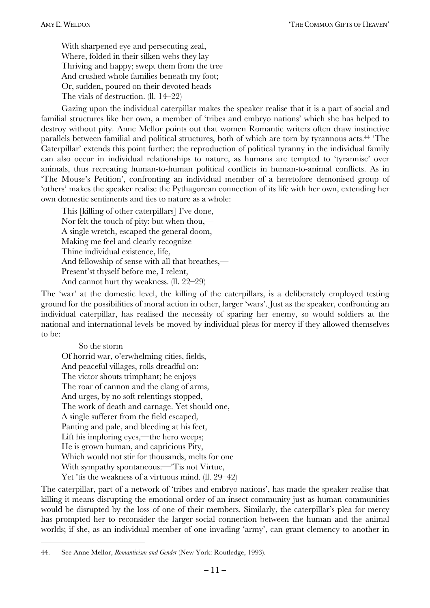With sharpened eye and persecuting zeal, Where, folded in their silken webs they lay Thriving and happy; swept them from the tree And crushed whole families beneath my foot; Or, sudden, poured on their devoted heads The vials of destruction.  $(II. 14-22)$ 

Gazing upon the individual caterpillar makes the speaker realise that it is a part of social and familial structures like her own, a member of 'tribes and embryo nations' which she has helped to destroy without pity. Anne Mellor points out that women Romantic writers often draw instinctive parallels between familial and political structures, both of which are torn by tyrannous acts.<sup>44</sup> The Caterpillar' extends this point further: the reproduction of political tyranny in the individual family can also occur in individual relationships to nature, as humans are tempted to 'tyrannise' over animals, thus recreating human-to-human political conflicts in human-to-animal conflicts. As in 'The Mouse's Petition', confronting an individual member of a heretofore demonised group of ëothersí makes the speaker realise the Pythagorean connection of its life with her own, extending her own domestic sentiments and ties to nature as a whole:

This [killing of other caterpillars] I've done, Nor felt the touch of pity: but when thou, $\overline{\phantom{a}}$ A single wretch, escaped the general doom, Making me feel and clearly recognize Thine individual existence, life, And fellowship of sense with all that breathes, $\overline{\phantom{a}}$ Present'st thyself before me, I relent, And cannot hurt thy weakness.  $(11. 22-29)$ 

The 'war' at the domestic level, the killing of the caterpillars, is a deliberately employed testing ground for the possibilities of moral action in other, larger 'wars'. Just as the speaker, confronting an individual caterpillar, has realised the necessity of sparing her enemy, so would soldiers at the national and international levels be moved by individual pleas for mercy if they allowed themselves to be:

So the storm Of horrid war, o'erwhelming cities, fields, And peaceful villages, rolls dreadful on: The victor shouts trimphant; he enjoys The roar of cannon and the clang of arms, And urges, by no soft relentings stopped, The work of death and carnage. Yet should one, A single sufferer from the field escaped, Panting and pale, and bleeding at his feet, Lift his imploring eyes,—the hero weeps; He is grown human, and capricious Pity, Which would not stir for thousands, melts for one With sympathy spontaneous:—Tis not Virtue, Yet 'tis the weakness of a virtuous mind.  $(ll. 29-42)$ 

The caterpillar, part of a network of 'tribes and embryo nations', has made the speaker realise that killing it means disrupting the emotional order of an insect community just as human communities would be disrupted by the loss of one of their members. Similarly, the caterpillar's plea for mercy has prompted her to reconsider the larger social connection between the human and the animal worlds; if she, as an individual member of one invading 'army', can grant clemency to another in

<sup>44.</sup> See Anne Mellor, *Romanticism and Gender* (New York: Routledge, 1993).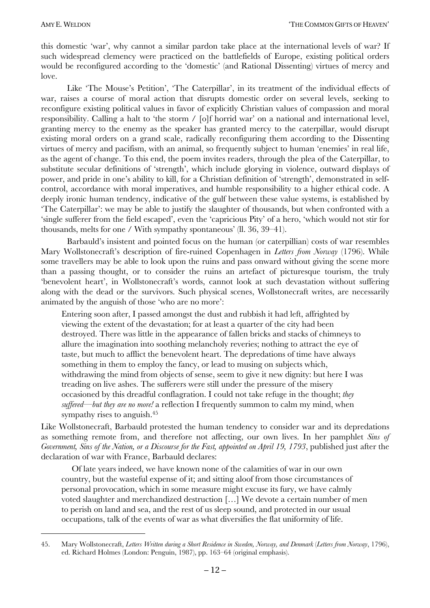$\overline{a}$ 

this domestic 'war', why cannot a similar pardon take place at the international levels of war? If such widespread clemency were practiced on the battlefields of Europe, existing political orders would be reconfigured according to the 'domestic' (and Rational Dissenting) virtues of mercy and love.

Like 'The Mouse's Petition', 'The Caterpillar', in its treatment of the individual effects of war, raises a course of moral action that disrupts domestic order on several levels, seeking to reconfigure existing political values in favor of explicitly Christian values of compassion and moral responsibility. Calling a halt to 'the storm / [o]f horrid war' on a national and international level, granting mercy to the enemy as the speaker has granted mercy to the caterpillar, would disrupt existing moral orders on a grand scale, radically reconfiguring them according to the Dissenting virtues of mercy and pacifism, with an animal, so frequently subject to human 'enemies' in real life, as the agent of change. To this end, the poem invites readers, through the plea of the Caterpillar, to substitute secular definitions of 'strength', which include glorying in violence, outward displays of power, and pride in one's ability to kill, for a Christian definition of 'strength', demonstrated in selfcontrol, accordance with moral imperatives, and humble responsibility to a higher ethical code. A deeply ironic human tendency, indicative of the gulf between these value systems, is established by The Caterpillar': we may be able to justify the slaughter of thousands, but when confronted with a 'single sufferer from the field escaped', even the 'capricious Pity' of a hero, 'which would not stir for thousands, melts for one / With sympathy spontaneous' (ll. 36, 39–41).

Barbauld's insistent and pointed focus on the human (or caterpillian) costs of war resembles Mary Wollstonecraft's description of fire-ruined Copenhagen in *Letters from Norway* (1796). While some travellers may be able to look upon the ruins and pass onward without giving the scene more than a passing thought, or to consider the ruins an artefact of picturesque tourism, the truly thenevolent heart', in Wollstonecraft's words, cannot look at such devastation without suffering along with the dead or the survivors. Such physical scenes, Wollstonecraft writes, are necessarily animated by the anguish of those 'who are no more':

Entering soon after, I passed amongst the dust and rubbish it had left, affrighted by viewing the extent of the devastation; for at least a quarter of the city had been destroyed. There was little in the appearance of fallen bricks and stacks of chimneys to allure the imagination into soothing melancholy reveries; nothing to attract the eye of taste, but much to afflict the benevolent heart. The depredations of time have always something in them to employ the fancy, or lead to musing on subjects which, withdrawing the mind from objects of sense, seem to give it new dignity: but here I was treading on live ashes. The sufferers were still under the pressure of the misery occasioned by this dreadful conflagration. I could not take refuge in the thought; *they*  suffered—but they are no more! a reflection I frequently summon to calm my mind, when sympathy rises to anguish.45

Like Wollstonecraft, Barbauld protested the human tendency to consider war and its depredations as something remote from, and therefore not affecting, our own lives. In her pamphlet *Sins of Government, Sins of the Nation, or a Discourse for the Fast, appointed on April 19, 1793*, published just after the declaration of war with France, Barbauld declares:

Of late years indeed, we have known none of the calamities of war in our own country, but the wasteful expense of it; and sitting aloof from those circumstances of personal provocation, which in some measure might excuse its fury, we have calmly voted slaughter and merchandized destruction [...] We devote a certain number of men to perish on land and sea, and the rest of us sleep sound, and protected in our usual occupations, talk of the events of war as what diversifies the flat uniformity of life.

<sup>45.</sup> Mary Wollstonecraft, *Letters Written during a Short Residence in Sweden, Norway, and Denmark* (*Letters from Norway*, 1796), ed. Richard Holmes (London: Penguin, 1987), pp. 163–64 (original emphasis).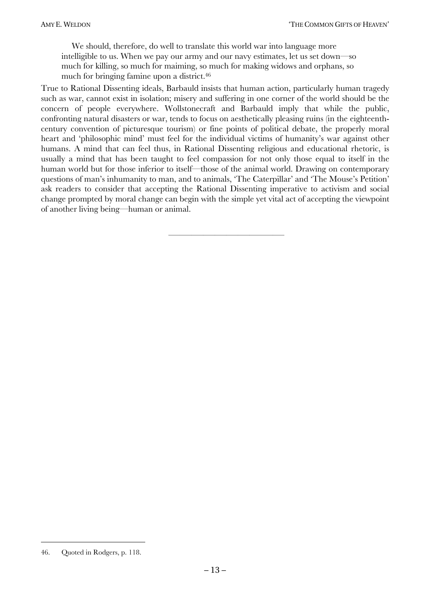We should, therefore, do well to translate this world war into language more intelligible to us. When we pay our army and our navy estimates, let us set down—so much for killing, so much for maiming, so much for making widows and orphans, so much for bringing famine upon a district.46

True to Rational Dissenting ideals, Barbauld insists that human action, particularly human tragedy such as war, cannot exist in isolation; misery and suffering in one corner of the world should be the concern of people everywhere. Wollstonecraft and Barbauld imply that while the public, confronting natural disasters or war, tends to focus on aesthetically pleasing ruins (in the eighteenthcentury convention of picturesque tourism) or fine points of political debate, the properly moral heart and 'philosophic mind' must feel for the individual victims of humanity's war against other humans. A mind that can feel thus, in Rational Dissenting religious and educational rhetoric, is usually a mind that has been taught to feel compassion for not only those equal to itself in the human world but for those inferior to itself—those of the animal world. Drawing on contemporary questions of man's inhumanity to man, and to animals, 'The Caterpillar' and 'The Mouse's Petition' ask readers to consider that accepting the Rational Dissenting imperative to activism and social change prompted by moral change can begin with the simple yet vital act of accepting the viewpoint of another living being—human or animal.

óóóóóóóóóóóóóóóóóóóóóóó

<sup>46.</sup> Quoted in Rodgers, p. 118.